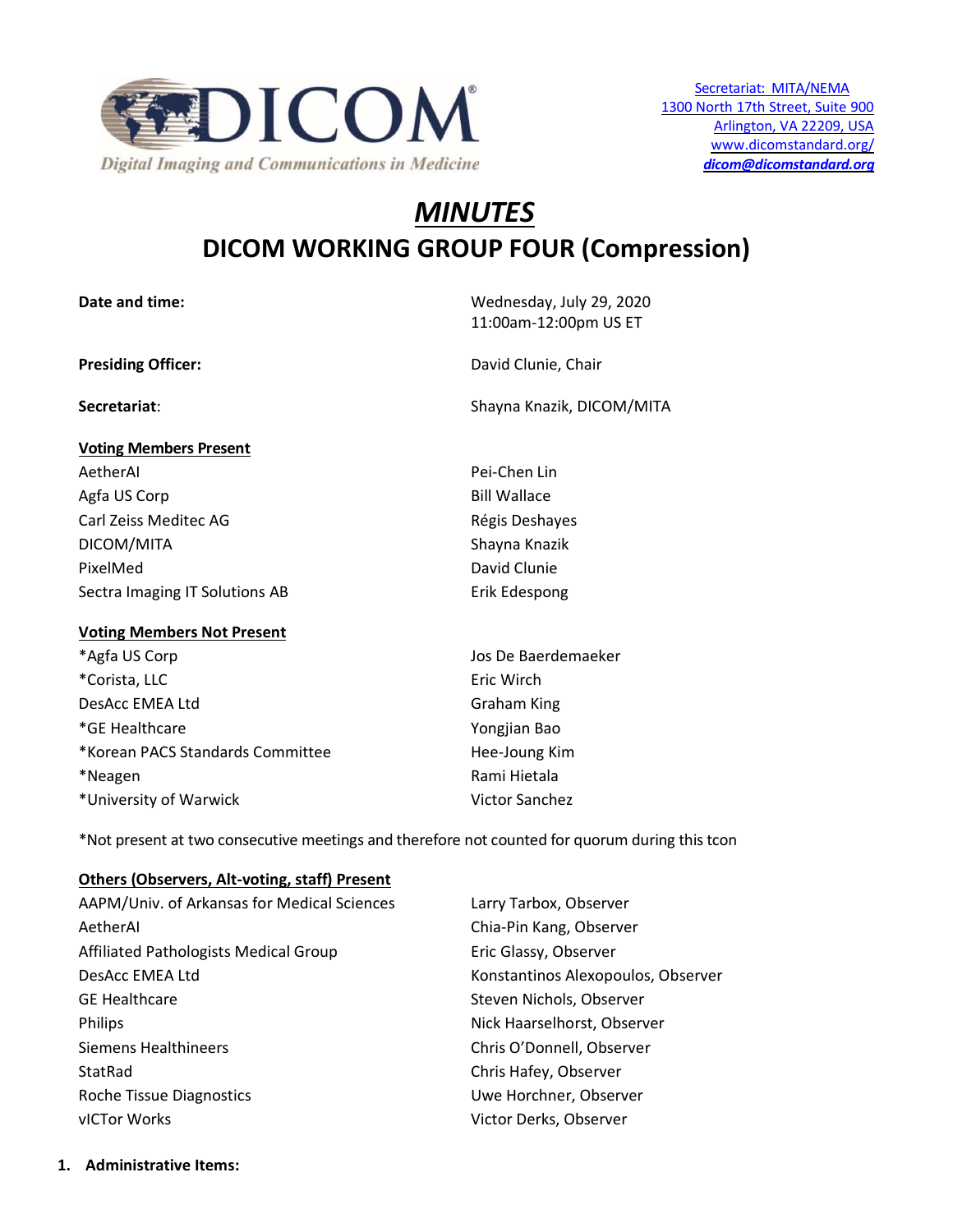

# *MINUTES* **DICOM WORKING GROUP FOUR (Compression)**

**Date and time:** Wednesday, July 29, 2020

11:00am-12:00pm US ET

**Presiding Officer:** David Clunie, Chair

**Secretariat**: Shayna Knazik, DICOM/MITA

**Voting Members Present** AetherAI Pei-Chen Lin Agfa US Corp **Bill Wallace** Carl Zeiss Meditec AG **Régis Deshayes** Carl Zeiss Meditec AG DICOM/MITA Shayna Knazik PixelMed David Clunie Sectra Imaging IT Solutions AB Erik Edespong

# **Voting Members Not Present**

\*Agfa US Corp Jos De Baerdemaeker \*Corista, LLC **Example 2018** Eric Wirch DesAcc EMEA Ltd Graham King \*GE Healthcare Yongjian Bao \*Korean PACS Standards Committee https://www.mateural.committee \*Neagen **Rami Hietala** \*University of Warwick Victor Sanchez

\*Not present at two consecutive meetings and therefore not counted for quorum during this tcon

# **Others (Observers, Alt-voting, staff) Present**

| AAPM/Univ. of Arkansas for Medical Sciences | Larry Tarbox, Observer             |
|---------------------------------------------|------------------------------------|
| AetherAl                                    | Chia-Pin Kang, Observer            |
| Affiliated Pathologists Medical Group       | Eric Glassy, Observer              |
| DesAcc EMEA Ltd                             | Konstantinos Alexopoulos, Observer |
| <b>GE Healthcare</b>                        | Steven Nichols, Observer           |
| <b>Philips</b>                              | Nick Haarselhorst, Observer        |
| <b>Siemens Healthineers</b>                 | Chris O'Donnell, Observer          |
| StatRad                                     | Chris Hafey, Observer              |
| Roche Tissue Diagnostics                    | Uwe Horchner, Observer             |
| vICTor Works                                | Victor Derks, Observer             |